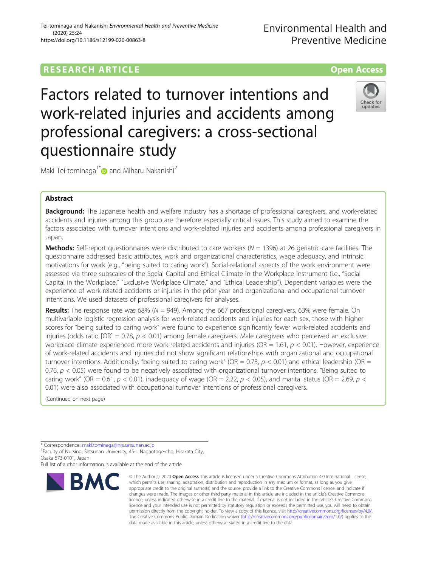# **RESEARCH ARTICLE Example 2014 12:30 The SEAR CH ACCESS**

Factors related to turnover intentions and work-related injuries and accidents among professional caregivers: a cross-sectional questionnaire study



Maki Tei-tominaga<sup>1\*</sup> and Miharu Nakanishi<sup>2</sup>

## Abstract

Background: The Japanese health and welfare industry has a shortage of professional caregivers, and work-related accidents and injuries among this group are therefore especially critical issues. This study aimed to examine the factors associated with turnover intentions and work-related injuries and accidents among professional caregivers in Japan.

**Methods:** Self-report questionnaires were distributed to care workers ( $N = 1396$ ) at 26 geriatric-care facilities. The questionnaire addressed basic attributes, work and organizational characteristics, wage adequacy, and intrinsic motivations for work (e.g., "being suited to caring work"). Social-relational aspects of the work environment were assessed via three subscales of the Social Capital and Ethical Climate in the Workplace instrument (i.e., "Social Capital in the Workplace," "Exclusive Workplace Climate," and "Ethical Leadership"). Dependent variables were the experience of work-related accidents or injuries in the prior year and organizational and occupational turnover intentions. We used datasets of professional caregivers for analyses.

**Results:** The response rate was 68% ( $N = 949$ ). Among the 667 professional caregivers, 63% were female. On multivariable logistic regression analysis for work-related accidents and injuries for each sex, those with higher scores for "being suited to caring work" were found to experience significantly fewer work-related accidents and injuries (odds ratio [OR] =  $0.78$ ,  $p < 0.01$ ) among female caregivers. Male caregivers who perceived an exclusive workplace climate experienced more work-related accidents and injuries (OR = 1.61,  $p < 0.01$ ). However, experience of work-related accidents and injuries did not show significant relationships with organizational and occupational turnover intentions. Additionally, "being suited to caring work" (OR = 0.73,  $p$  < 0.01) and ethical leadership (OR = 0.76,  $p < 0.05$ ) were found to be negatively associated with organizational turnover intentions. "Being suited to caring work" (OR = 0.61,  $p < 0.01$ ), inadequacy of wage (OR = 2.22,  $p < 0.05$ ), and marital status (OR = 2.69,  $p <$ 0.01) were also associated with occupational turnover intentions of professional caregivers.

(Continued on next page)

Full list of author information is available at the end of the article



<sup>©</sup> The Author(s), 2020 **Open Access** This article is licensed under a Creative Commons Attribution 4.0 International License, which permits use, sharing, adaptation, distribution and reproduction in any medium or format, as long as you give appropriate credit to the original author(s) and the source, provide a link to the Creative Commons licence, and indicate if changes were made. The images or other third party material in this article are included in the article's Creative Commons licence, unless indicated otherwise in a credit line to the material. If material is not included in the article's Creative Commons licence and your intended use is not permitted by statutory regulation or exceeds the permitted use, you will need to obtain permission directly from the copyright holder. To view a copy of this licence, visit [http://creativecommons.org/licenses/by/4.0/.](http://creativecommons.org/licenses/by/4.0/) The Creative Commons Public Domain Dedication waiver [\(http://creativecommons.org/publicdomain/zero/1.0/](http://creativecommons.org/publicdomain/zero/1.0/)) applies to the data made available in this article, unless otherwise stated in a credit line to the data.

<sup>\*</sup> Correspondence: [maki.tominaga@nrs.setsunan.ac.jp](mailto:maki.tominaga@nrs.setsunan.ac.jp) <sup>1</sup>

<sup>&</sup>lt;sup>1</sup> Faculty of Nursing, Setsunan University, 45-1 Nagaotoge-cho, Hirakata City, Osaka 573-0101, Japan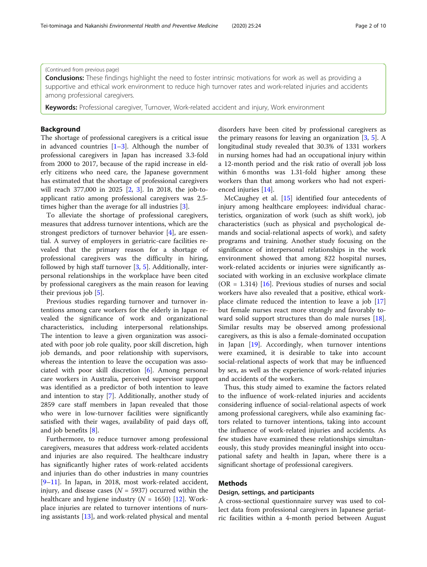(Continued from previous page)

**Conclusions:** These findings highlight the need to foster intrinsic motivations for work as well as providing a supportive and ethical work environment to reduce high turnover rates and work-related injuries and accidents among professional caregivers.

**Keywords:** Professional caregiver, Turnover, Work-related accident and injury, Work environment

## Background

The shortage of professional caregivers is a critical issue in advanced countries  $[1-3]$  $[1-3]$  $[1-3]$  $[1-3]$ . Although the number of professional caregivers in Japan has increased 3.3-fold from 2000 to 2017, because of the rapid increase in elderly citizens who need care, the Japanese government has estimated that the shortage of professional caregivers will reach 377,000 in 2025 [[2,](#page-8-0) [3](#page-8-0)]. In 2018, the job-toapplicant ratio among professional caregivers was 2.5 times higher than the average for all industries [\[3](#page-8-0)].

To alleviate the shortage of professional caregivers, measures that address turnover intentions, which are the strongest predictors of turnover behavior [\[4\]](#page-8-0), are essential. A survey of employers in geriatric-care facilities revealed that the primary reason for a shortage of professional caregivers was the difficulty in hiring, followed by high staff turnover [\[3](#page-8-0), [5](#page-8-0)]. Additionally, interpersonal relationships in the workplace have been cited by professional caregivers as the main reason for leaving their previous job [\[5\]](#page-8-0).

Previous studies regarding turnover and turnover intentions among care workers for the elderly in Japan revealed the significance of work and organizational characteristics, including interpersonal relationships. The intention to leave a given organization was associated with poor job role quality, poor skill discretion, high job demands, and poor relationship with supervisors, whereas the intention to leave the occupation was associated with poor skill discretion [[6\]](#page-9-0). Among personal care workers in Australia, perceived supervisor support was identified as a predictor of both intention to leave and intention to stay [\[7](#page-9-0)]. Additionally, another study of 2859 care staff members in Japan revealed that those who were in low-turnover facilities were significantly satisfied with their wages, availability of paid days off, and job benefits [\[8](#page-9-0)].

Furthermore, to reduce turnover among professional caregivers, measures that address work-related accidents and injuries are also required. The healthcare industry has significantly higher rates of work-related accidents and injuries than do other industries in many countries [[9](#page-9-0)–[11\]](#page-9-0). In Japan, in 2018, most work-related accident, injury, and disease cases ( $N = 5937$ ) occurred within the healthcare and hygiene industry ( $N = 1650$ ) [[12\]](#page-9-0). Workplace injuries are related to turnover intentions of nursing assistants [[13\]](#page-9-0), and work-related physical and mental

disorders have been cited by professional caregivers as the primary reasons for leaving an organization [[3,](#page-8-0) [5\]](#page-8-0). A longitudinal study revealed that 30.3% of 1331 workers in nursing homes had had an occupational injury within a 12-month period and the risk ratio of overall job loss within 6 months was 1.31-fold higher among these workers than that among workers who had not experienced injuries [[14\]](#page-9-0).

McCaughey et al. [\[15](#page-9-0)] identified four antecedents of injury among healthcare employees: individual characteristics, organization of work (such as shift work), job characteristics (such as physical and psychological demands and social-relational aspects of work), and safety programs and training. Another study focusing on the significance of interpersonal relationships in the work environment showed that among 822 hospital nurses, work-related accidents or injuries were significantly associated with working in an exclusive workplace climate (OR = 1.314) [ $16$ ]. Previous studies of nurses and social workers have also revealed that a positive, ethical workplace climate reduced the intention to leave a job [[17](#page-9-0)] but female nurses react more strongly and favorably to-ward solid support structures than do male nurses [\[18](#page-9-0)]. Similar results may be observed among professional caregivers, as this is also a female-dominated occupation in Japan [\[19\]](#page-9-0). Accordingly, when turnover intentions were examined, it is desirable to take into account social-relational aspects of work that may be influenced by sex, as well as the experience of work-related injuries and accidents of the workers.

Thus, this study aimed to examine the factors related to the influence of work-related injuries and accidents considering influence of social-relational aspects of work among professional caregivers, while also examining factors related to turnover intentions, taking into account the influence of work-related injuries and accidents. As few studies have examined these relationships simultaneously, this study provides meaningful insight into occupational safety and health in Japan, where there is a significant shortage of professional caregivers.

## **Methods**

#### Design, settings, and participants

A cross-sectional questionnaire survey was used to collect data from professional caregivers in Japanese geriatric facilities within a 4-month period between August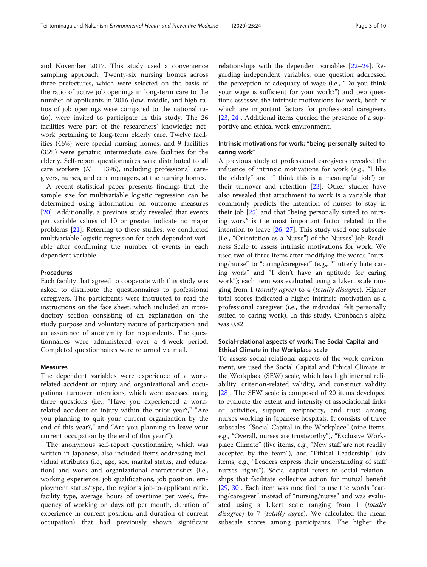and November 2017. This study used a convenience sampling approach. Twenty-six nursing homes across three prefectures, which were selected on the basis of the ratio of active job openings in long-term care to the number of applicants in 2016 (low, middle, and high ratios of job openings were compared to the national ratio), were invited to participate in this study. The 26 facilities were part of the researchers' knowledge network pertaining to long-term elderly care. Twelve facilities (46%) were special nursing homes, and 9 facilities (35%) were geriatric intermediate care facilities for the elderly. Self-report questionnaires were distributed to all care workers ( $N = 1396$ ), including professional caregivers, nurses, and care managers, at the nursing homes.

A recent statistical paper presents findings that the sample size for multivariable logistic regression can be determined using information on outcome measures [[20\]](#page-9-0). Additionally, a previous study revealed that events per variable values of 10 or greater indicate no major problems [[21](#page-9-0)]. Referring to these studies, we conducted multivariable logistic regression for each dependent variable after confirming the number of events in each dependent variable.

#### Procedures

Each facility that agreed to cooperate with this study was asked to distribute the questionnaires to professional caregivers. The participants were instructed to read the instructions on the face sheet, which included an introductory section consisting of an explanation on the study purpose and voluntary nature of participation and an assurance of anonymity for respondents. The questionnaires were administered over a 4-week period. Completed questionnaires were returned via mail.

## Measures

The dependent variables were experience of a workrelated accident or injury and organizational and occupational turnover intentions, which were assessed using three questions (i.e., "Have you experienced a workrelated accident or injury within the prior year?," "Are you planning to quit your current organization by the end of this year?," and "Are you planning to leave your current occupation by the end of this year?").

The anonymous self-report questionnaire, which was written in Japanese, also included items addressing individual attributes (i.e., age, sex, marital status, and education) and work and organizational characteristics (i.e., working experience, job qualifications, job position, employment status/type, the region's job-to-applicant ratio, facility type, average hours of overtime per week, frequency of working on days off per month, duration of experience in current position, and duration of current occupation) that had previously shown significant

relationships with the dependent variables [[22](#page-9-0)–[24](#page-9-0)]. Regarding independent variables, one question addressed the perception of adequacy of wage (i.e., "Do you think your wage is sufficient for your work?") and two questions assessed the intrinsic motivations for work, both of which are important factors for professional caregivers [[23,](#page-9-0) [24\]](#page-9-0). Additional items queried the presence of a supportive and ethical work environment.

## Intrinsic motivations for work: "being personally suited to caring work"

A previous study of professional caregivers revealed the influence of intrinsic motivations for work (e.g., "I like the elderly" and "I think this is a meaningful job") on their turnover and retention [\[23](#page-9-0)]. Other studies have also revealed that attachment to work is a variable that commonly predicts the intention of nurses to stay in their job [[25\]](#page-9-0) and that "being personally suited to nursing work" is the most important factor related to the intention to leave [[26,](#page-9-0) [27\]](#page-9-0). This study used one subscale (i.e., "Orientation as a Nurse") of the Nurses' Job Readiness Scale to assess intrinsic motivations for work. We used two of three items after modifying the words "nursing/nurse" to "caring/caregiver" (e.g., "I utterly hate caring work" and "I don't have an aptitude for caring work"); each item was evaluated using a Likert scale ranging from 1 (totally agree) to 4 (totally disagree). Higher total scores indicated a higher intrinsic motivation as a professional caregiver (i.e., the individual felt personally suited to caring work). In this study, Cronbach's alpha was 0.82.

## Social-relational aspects of work: The Social Capital and Ethical Climate in the Workplace scale

To assess social-relational aspects of the work environment, we used the Social Capital and Ethical Climate in the Workplace (SEW) scale, which has high internal reliability, criterion-related validity, and construct validity [[28\]](#page-9-0). The SEW scale is composed of 20 items developed to evaluate the extent and intensity of associational links or activities, support, reciprocity, and trust among nurses working in Japanese hospitals. It consists of three subscales: "Social Capital in the Workplace" (nine items, e.g., "Overall, nurses are trustworthy"), "Exclusive Workplace Climate" (five items, e.g., "New staff are not readily accepted by the team"), and "Ethical Leadership" (six items, e.g., "Leaders express their understanding of staff nurses' rights"). Social capital refers to social relationships that facilitate collective action for mutual benefit [[29,](#page-9-0) [30](#page-9-0)]. Each item was modified to use the words "caring/caregiver" instead of "nursing/nurse" and was evaluated using a Likert scale ranging from 1 (totally disagree) to 7 (totally agree). We calculated the mean subscale scores among participants. The higher the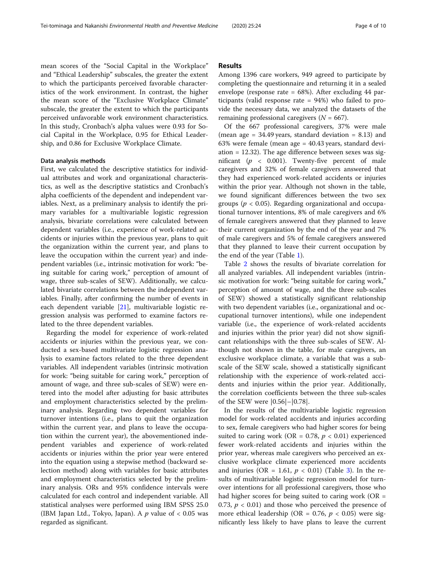mean scores of the "Social Capital in the Workplace" and "Ethical Leadership" subscales, the greater the extent to which the participants perceived favorable characteristics of the work environment. In contrast, the higher the mean score of the "Exclusive Workplace Climate" subscale, the greater the extent to which the participants perceived unfavorable work environment characteristics. In this study, Cronbach's alpha values were 0.93 for Social Capital in the Workplace, 0.95 for Ethical Leadership, and 0.86 for Exclusive Workplace Climate.

#### Data analysis methods

First, we calculated the descriptive statistics for individual attributes and work and organizational characteristics, as well as the descriptive statistics and Cronbach's alpha coefficients of the dependent and independent variables. Next, as a preliminary analysis to identify the primary variables for a multivariable logistic regression analysis, bivariate correlations were calculated between dependent variables (i.e., experience of work-related accidents or injuries within the previous year, plans to quit the organization within the current year, and plans to leave the occupation within the current year) and independent variables (i.e., intrinsic motivation for work: "being suitable for caring work," perception of amount of wage, three sub-scales of SEW). Additionally, we calculated bivariate correlations between the independent variables. Finally, after confirming the number of events in each dependent variable [\[21\]](#page-9-0), multivariable logistic regression analysis was performed to examine factors related to the three dependent variables.

Regarding the model for experience of work-related accidents or injuries within the previous year, we conducted a sex-based multivariate logistic regression analysis to examine factors related to the three dependent variables. All independent variables (intrinsic motivation for work: "being suitable for caring work," perception of amount of wage, and three sub-scales of SEW) were entered into the model after adjusting for basic attributes and employment characteristics selected by the preliminary analysis. Regarding two dependent variables for turnover intentions (i.e., plans to quit the organization within the current year, and plans to leave the occupation within the current year), the abovementioned independent variables and experience of work-related accidents or injuries within the prior year were entered into the equation using a stepwise method (backward selection method) along with variables for basic attributes and employment characteristics selected by the preliminary analysis. ORs and 95% confidence intervals were calculated for each control and independent variable. All statistical analyses were performed using IBM SPSS 25.0 (IBM Japan Ltd., Tokyo, Japan). A  $p$  value of  $< 0.05$  was regarded as significant.

## Results

Among 1396 care workers, 949 agreed to participate by completing the questionnaire and returning it in a sealed envelope (response rate  $= 68\%$ ). After excluding 44 participants (valid response rate = 94%) who failed to provide the necessary data, we analyzed the datasets of the remaining professional caregivers  $(N = 667)$ .

Of the 667 professional caregivers, 37% were male (mean age  $= 34.49$  years, standard deviation  $= 8.13$ ) and 63% were female (mean age = 40.43 years, standard deviation = 12.32). The age difference between sexes was significant ( $p \sim 0.001$ ). Twenty-five percent of male caregivers and 32% of female caregivers answered that they had experienced work-related accidents or injuries within the prior year. Although not shown in the table, we found significant differences between the two sex groups ( $p < 0.05$ ). Regarding organizational and occupational turnover intentions, 8% of male caregivers and 6% of female caregivers answered that they planned to leave their current organization by the end of the year and 7% of male caregivers and 5% of female caregivers answered that they planned to leave their current occupation by the end of the year (Table [1](#page-4-0)).

Table [2](#page-5-0) shows the results of bivariate correlation for all analyzed variables. All independent variables (intrinsic motivation for work: "being suitable for caring work," perception of amount of wage, and the three sub-scales of SEW) showed a statistically significant relationship with two dependent variables (i.e., organizational and occupational turnover intentions), while one independent variable (i.e., the experience of work-related accidents and injuries within the prior year) did not show significant relationships with the three sub-scales of SEW. Although not shown in the table, for male caregivers, an exclusive workplace climate, a variable that was a subscale of the SEW scale, showed a statistically significant relationship with the experience of work-related accidents and injuries within the prior year. Additionally, the correlation coefficients between the three sub-scales of the SEW were |0.56|–|0.78|.

In the results of the multivariable logistic regression model for work-related accidents and injuries according to sex, female caregivers who had higher scores for being suited to caring work (OR = 0.78,  $p < 0.01$ ) experienced fewer work-related accidents and injuries within the prior year, whereas male caregivers who perceived an exclusive workplace climate experienced more accidents and injuries (OR = 1.61,  $p < 0.01$ ) (Table [3](#page-6-0)). In the results of multivariable logistic regression model for turnover intentions for all professional caregivers, those who had higher scores for being suited to caring work ( $OR =$ 0.73,  $p < 0.01$ ) and those who perceived the presence of more ethical leadership (OR = 0.76,  $p < 0.05$ ) were significantly less likely to have plans to leave the current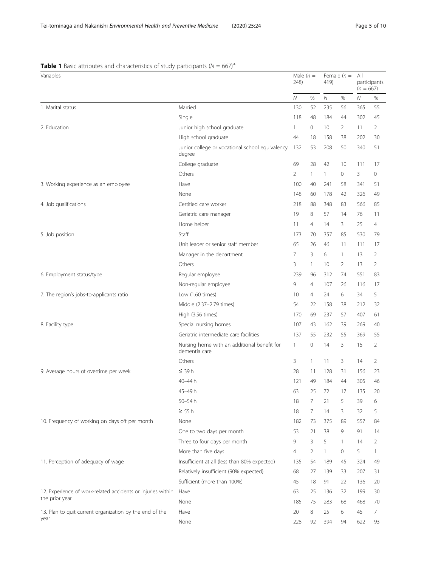## <span id="page-4-0"></span>**Table 1** Basic attributes and characteristics of study participants ( $N = 667$ )<sup>a.</sup>

| Variables                                                   |                                                              | Male $(n =$<br>248) |                | Female $(n =$<br>419) |                | All<br>participants<br>$(n = 667)$ |                |
|-------------------------------------------------------------|--------------------------------------------------------------|---------------------|----------------|-----------------------|----------------|------------------------------------|----------------|
|                                                             |                                                              | Ν                   | %              | Ν                     | %              | Ν                                  | %              |
| 1. Marital status                                           | Married                                                      | 130                 | 52             | 235                   | 56             | 365                                | 55             |
|                                                             | Single                                                       | 118                 | 48             | 184                   | 44             | 302                                | 45             |
| 2. Education                                                | Junior high school graduate                                  | $\mathbf{1}$        | $\circ$        | 10                    | $\overline{2}$ | 11                                 | 2              |
|                                                             | High school graduate                                         | 44                  | 18             | 158                   | 38             | 202                                | 30             |
|                                                             | Junior college or vocational school equivalency<br>degree    | 132                 | 53             | 208                   | 50             | 340                                | 51             |
|                                                             | College graduate                                             | 69                  | 28             | 42                    | 10             | 111                                | 17             |
|                                                             | Others                                                       | $\overline{2}$      | 1              | 1                     | 0              | 3                                  | 0              |
| 3. Working experience as an employee                        | Have                                                         | 100                 | 40             | 241                   | 58             | 341                                | 51             |
|                                                             | None                                                         | 148                 | 60             | 178                   | 42             | 326                                | 49             |
| 4. Job qualifications                                       | Certified care worker                                        | 218                 | 88             | 348                   | 83             | 566                                | 85             |
|                                                             | Geriatric care manager                                       | 19                  | 8              | 57                    | 14             | 76                                 | 11             |
|                                                             | Home helper                                                  | 11                  | $\overline{4}$ | 14                    | 3              | 25                                 | $\overline{4}$ |
| 5. Job position                                             | Staff                                                        | 173                 | 70             | 357                   | 85             | 530                                | 79             |
|                                                             | Unit leader or senior staff member                           | 65                  | 26             | 46                    | 11             | 111                                | 17             |
|                                                             | Manager in the department                                    | 7                   | 3              | 6                     | $\mathbf{1}$   | 13                                 | 2              |
|                                                             | Others                                                       | 3                   | 1              | 10                    | $\overline{2}$ | 13                                 | 2              |
| 6. Employment status/type                                   | Regular employee                                             | 239                 | 96             | 312                   | 74             | 551                                | 83             |
|                                                             | Non-regular employee                                         | 9                   | $\overline{4}$ | 107                   | 26             | 116                                | 17             |
| 7. The region's jobs-to-applicants ratio                    | Low (1.60 times)                                             | 10                  | $\overline{4}$ | 24                    | 6              | 34                                 | 5              |
|                                                             | Middle (2.37-2.79 times)                                     | 54                  | 22             | 158                   | 38             | 212                                | 32             |
|                                                             | High (3.56 times)                                            | 170                 | 69             | 237                   | 57             | 407                                | 61             |
| 8. Facility type                                            | Special nursing homes                                        | 107                 | 43             | 162                   | 39             | 269                                | 40             |
|                                                             | Geriatric intermediate care facilities                       | 137                 | 55             | 232                   | 55             | 369                                | 55             |
|                                                             | Nursing home with an additional benefit for<br>dementia care | $\mathbf{1}$        | 0              | 14                    | 3              | 15                                 | 2              |
|                                                             | Others                                                       | 3                   | 1              | 11                    | 3              | 14                                 | 2              |
| 9. Average hours of overtime per week                       | $\leq$ 39 h                                                  | 28                  | 11             | 128                   | 31             | 156                                | 23             |
|                                                             | 40-44 h                                                      | 121                 | 49             | 184                   | 44             | 305                                | 46             |
|                                                             | 45-49h                                                       | 63                  | 25             | 72                    | 17             | 135                                | 20             |
|                                                             | 50-54h                                                       | 18                  | 7              | 21                    | 5              | 39                                 | 6              |
|                                                             | $\geq 55h$                                                   | 18                  | 7              | 14                    | 3              | 32                                 | 5              |
| 10. Frequency of working on days off per month              | None                                                         | 182                 | 73             | 375                   | 89             | 557                                | 84             |
|                                                             | One to two days per month                                    | 53                  | 21             | 38                    | 9              | 91                                 | 14             |
|                                                             | Three to four days per month                                 | 9                   | 3              | 5                     | $\mathbf{1}$   | 14                                 | 2              |
|                                                             | More than five days                                          | $\overline{4}$      | 2              | 1                     | $\mathbf{0}$   | 5                                  | 1              |
| 11. Perception of adequacy of wage                          | Insufficient at all (less than 80% expected)                 | 135                 | 54             | 189                   | 45             | 324                                | 49             |
|                                                             | Relatively insufficient (90% expected)                       | 68                  | 27             | 139                   | 33             | 207                                | 31             |
|                                                             | Sufficient (more than 100%)                                  | 45                  | 18             | 91                    | 22             | 136                                | 20             |
| 12. Experience of work-related accidents or injuries within | Have                                                         | 63                  | 25             | 136                   | 32             | 199                                | 30             |
| the prior year                                              | None                                                         | 185                 | 75             | 283                   | 68             | 468                                | 70             |
| 13. Plan to quit current organization by the end of the     | Have                                                         | 20                  | 8              | 25                    | 6              | 45                                 | 7              |
| year                                                        | None                                                         | 228                 | 92             | 394                   | 94             | 622                                | 93             |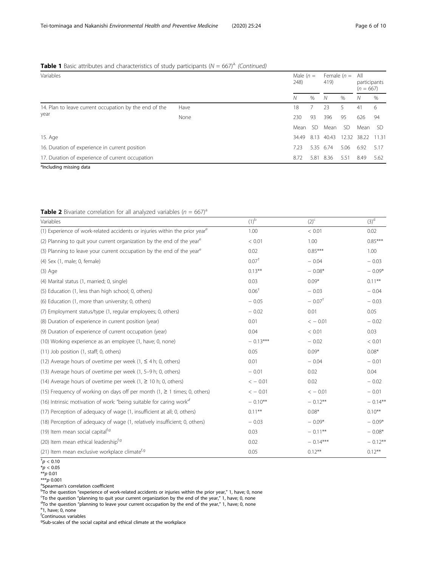## <span id="page-5-0"></span>**Table 1** Basic attributes and characteristics of study participants ( $N = 667$ <sup>a.</sup> (Continued)

| Variables                                                      |      | 248)  | Male $(n =$ |           | Female $(n =$<br>419) |       | All<br>participants<br>$(n = 667)$ |  |
|----------------------------------------------------------------|------|-------|-------------|-----------|-----------------------|-------|------------------------------------|--|
|                                                                |      | Ν     | %           | N         | $\%$                  | N     | $\%$                               |  |
| 14. Plan to leave current occupation by the end of the<br>year | Have | 18    |             | 23        | 5.                    | 41    | 6                                  |  |
|                                                                | None | 230   | 93          | 396       | 95                    | 626   | 94                                 |  |
|                                                                |      | Mean  | SD.         | Mean      | SD.                   | Mean  | -SD                                |  |
| 15. Age                                                        |      | 34.49 | 8.13        | 40.43     | 12.32                 | 38.22 | 11.31                              |  |
| 16. Duration of experience in current position                 |      | 7.23  |             | 5.35 6.74 | 5.06                  | 6.92  | 5.17                               |  |
| 17. Duration of experience of current occupation               |      | 8.72  | 5.81        | 8.36      | 5.51                  | 8.49  | 5.62                               |  |
| <sup>a</sup> Including missing data                            |      |       |             |           |                       |       |                                    |  |

## **Table 2** Bivariate correlation for all analyzed variables ( $n = 667$ )<sup>a</sup>

| Variables                                                                               | $(1)^{b}$         | $(2)^{c}$            | $(3)^d$    |
|-----------------------------------------------------------------------------------------|-------------------|----------------------|------------|
| (1) Experience of work-related accidents or injuries within the prior year <sup>e</sup> | 1.00              | < 0.01               | 0.02       |
| (2) Planning to quit your current organization by the end of the year <sup>e</sup>      | < 0.01            | 1.00                 | $0.85***$  |
| (3) Planning to leave your current occupation by the end of the year <sup>e</sup>       | 0.02              | $0.85***$            | 1.00       |
| (4) Sex (1, male; 0, female)                                                            | $0.07+$           | $-0.04$              | $-0.03$    |
| $(3)$ Age                                                                               | $0.13***$         | $-0.08*$             | $-0.09*$   |
| (4) Marital status (1, married; 0, single)                                              | 0.03              | $0.09*$              | $0.11***$  |
| (5) Education (1, less than high school; 0, others)                                     | 0.06 <sup>†</sup> | $-0.03$              | $-0.04$    |
| (6) Education (1, more than university; 0, others)                                      | $-0.05$           | $-0.07$ <sup>+</sup> | $-0.03$    |
| (7) Employment status/type (1, regular employees; 0, others)                            | $-0.02$           | 0.01                 | 0.05       |
| (8) Duration of experience in current position (year)                                   | 0.01              | $<-0.01$             | $-0.02$    |
| (9) Duration of experience of current occupation (year)                                 | 0.04              | < 0.01               | 0.03       |
| (10) Working experience as an employee (1, have; 0, none)                               | $-0.13***$        | $-0.02$              | < 0.01     |
| (11) Job position (1, staff; 0, others)                                                 | 0.05              | $0.09*$              | $0.08*$    |
| (12) Average hours of overtime per week (1, $\leq$ 4 h; 0, others)                      | 0.01              | $-0.04$              | $-0.01$    |
| (13) Average hours of overtime per week (1, 5–9 h; 0, others)                           | $-0.01$           | 0.02                 | 0.04       |
| (14) Average hours of overtime per week (1, $\geq$ 10 h; 0, others)                     | $<-0.01$          | 0.02                 | $-0.02$    |
| (15) Frequency of working on days off per month (1, $\geq$ 1 times; 0, others)          | $<-0.01$          | $<-0.01$             | $-0.01$    |
| (16) Intrinsic motivation of work: "being suitable for caring work"                     | $-0.10***$        | $-0.12**$            | $-0.14***$ |
| (17) Perception of adequacy of wage (1, insufficient at all; 0, others)                 | $0.11***$         | $0.08*$              | $0.10***$  |
| (18) Perception of adequacy of wage (1, relatively insufficient; 0, others)             | $-0.03$           | $-0.09*$             | $-0.09*$   |
| (19) Item mean social capital <sup>f,g</sup>                                            | 0.03              | $-0.11***$           | $-0.08*$   |
| (20) Item mean ethical leadershipf,9                                                    | 0.02              | $-0.14***$           | $-0.12**$  |
| (21) Item mean exclusive workplace climate <sup>f,g</sup>                               | 0.05              | $0.12***$            | $0.12***$  |

 $^\dagger p < 0.10$ 

 $*_{p}$  < 0.05

\*\*p 0.01

 $^{***p}$  0.001

<sup>a</sup>Spearman's correlation coefficient<br><sup>b</sup>To the question "experience of w

 $^{\rm b}$ To the question "experience of work-related accidents or injuries within the prior year," 1, have; 0, none charged to any charged the state of the wear " 1, have; 0, none charged to any charged the state of the wea

To the question "planning to quit your current organization by the end of the year," 1, have; 0, none<br> ${}^{4}$ To the question "planning to long your current occupation by the end of the year," 1, have: 0, none

<sup>d</sup>To the question "planning to leave your current occupation by the end of the year," 1, have; 0, none<br><sup>e</sup>1, have: 0, none

 $e$ 1, have; 0, none

f Continuous variables

<sup>g</sup>Sub-scales of the social capital and ethical climate at the workplace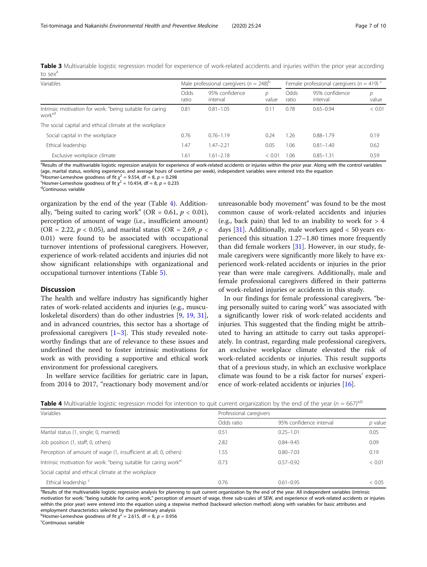<span id="page-6-0"></span>Table 3 Multivariable logistic regression model for experience of work-related accidents and injuries within the prior year according to sex $^3$ 

| Variables                                                                       | Male professional caregivers ( $n = 248$ ) <sup>p</sup> |                            |            | Female professional caregivers ( $n = 419$ ) <sup>c</sup> |                            |            |
|---------------------------------------------------------------------------------|---------------------------------------------------------|----------------------------|------------|-----------------------------------------------------------|----------------------------|------------|
|                                                                                 | Odds<br>ratio                                           | 95% confidence<br>interval | D<br>value | Odds<br>ratio                                             | 95% confidence<br>interval | р<br>value |
| Intrinsic motivation for work: "being suitable for caring<br>work" <sup>d</sup> | 0.81                                                    | $0.81 - 1.05$              | 0.11       | 0.78                                                      | $0.65 - 0.94$              | < 0.01     |
| The social capital and ethical climate at the workplace                         |                                                         |                            |            |                                                           |                            |            |
| Social capital in the workplace                                                 | 0.76                                                    | $0.76 - 1.19$              | 0.24       | 1.26                                                      | $0.88 - 1.79$              | 0.19       |
| Ethical leadership                                                              | 1.47                                                    | $1.47 - 2.21$              | 0.05       | 1.06                                                      | $0.81 - 1.40$              | 0.62       |
| Exclusive workplace climate                                                     | 1.61                                                    | $1.61 - 2.18$              | < 0.01     | 1.06                                                      | $0.85 - 1.31$              | 0.59       |

<sup>a</sup>Results of the multivariable logistic regression analysis for experience of work-related accidents or injuries within the prior year. Along with the control variables (age, marital status, working experience, and average hours of overtime per week), independent variables were entered into the equation

b Hosmer-Lemeshow goodness of fit  $\chi^2 = 9.554$ , df = 8, p = 0.298<br>S Hosmer-Lemeshow goodness of fit  $\chi^2 = 10.454$ , df = 8, p = 0.238

<sup>c</sup>Hosmer-Lemeshow goodness of fit  $\chi^2 = 10.454$ , df = 8, p = 0.235<sup>d</sup>Continuous variable

Continuous variable

organization by the end of the year (Table 4). Additionally, "being suited to caring work" (OR = 0.61,  $p < 0.01$ ), perception of amount of wage (i.e., insufficient amount) (OR = 2.22,  $p < 0.05$ ), and marital status (OR = 2.69,  $p <$ 0.01) were found to be associated with occupational turnover intentions of professional caregivers. However, experience of work-related accidents and injuries did not show significant relationships with organizational and occupational turnover intentions (Table [5\)](#page-7-0).

### **Discussion**

The health and welfare industry has significantly higher rates of work-related accidents and injuries (e.g., musculoskeletal disorders) than do other industries [\[9](#page-9-0), [19,](#page-9-0) [31](#page-9-0)], and in advanced countries, this sector has a shortage of professional caregivers  $[1-3]$  $[1-3]$  $[1-3]$  $[1-3]$  $[1-3]$ . This study revealed noteworthy findings that are of relevance to these issues and underlined the need to foster intrinsic motivations for work as with providing a supportive and ethical work environment for professional caregivers.

In welfare service facilities for geriatric care in Japan, from 2014 to 2017, "reactionary body movement and/or

unreasonable body movement" was found to be the most common cause of work-related accidents and injuries (e.g., back pain) that led to an inability to work for  $> 4$ days  $[31]$  $[31]$ . Additionally, male workers aged  $< 50$  years experienced this situation 1.27–1.80 times more frequently than did female workers [\[31](#page-9-0)]. However, in our study, female caregivers were significantly more likely to have experienced work-related accidents or injuries in the prior year than were male caregivers. Additionally, male and female professional caregivers differed in their patterns of work-related injuries or accidents in this study.

In our findings for female professional caregivers, "being personally suited to caring work" was associated with a significantly lower risk of work-related accidents and injuries. This suggested that the finding might be attributed to having an attitude to carry out tasks appropriately. In contrast, regarding male professional caregivers, an exclusive workplace climate elevated the risk of work-related accidents or injuries. This result supports that of a previous study, in which an exclusive workplace climate was found to be a risk factor for nurses' experience of work-related accidents or injuries [[16\]](#page-9-0).

| Table 4 Multivariable logistic regression model for intention to quit current organization by the end of the year ( $n = 667)^{a,b}$ |  |  |
|--------------------------------------------------------------------------------------------------------------------------------------|--|--|
|                                                                                                                                      |  |  |

| Variables                                                                    | Professional caregivers |                         |         |  |  |  |  |
|------------------------------------------------------------------------------|-------------------------|-------------------------|---------|--|--|--|--|
|                                                                              | Odds ratio              | 95% confidence interval | p value |  |  |  |  |
| Marital status (1, single; 0, married)                                       | 0.51                    | $0.25 - 1.01$           | 0.05    |  |  |  |  |
| Job position (1, staff; 0, others)                                           | 2.82                    | $0.84 - 9.45$           | 0.09    |  |  |  |  |
| Perception of amount of wage (1, insufficient at all; 0, others)             | 1.55                    | $0.80 - 7.03$           | 0.19    |  |  |  |  |
| Intrinsic motivation for work: "being suitable for caring work" <sup>c</sup> | 0.73                    | $0.57 - 0.92$           | < 0.01  |  |  |  |  |
| Social capital and ethical climate at the workplace                          |                         |                         |         |  |  |  |  |
| Ethical leadership <sup>c</sup>                                              | 0.76                    | $0.61 - 0.95$           | < 0.05  |  |  |  |  |

<sup>a</sup>Results of the multivariable logistic regression analysis for planning to quit current organization by the end of the year. All independent variables (intrinsic motivation for work: "being suitable for caring work," perception of amount of wage, three sub-scales of SEW, and experience of work-related accidents or injuries within the prior year) were entered into the equation using a stepwise method (backward selection method) along with variables for basic attributes and employment characteristics selected by the preliminary analysis

<sup>b</sup>Hosmer-Lemeshow goodness of fit  $\chi^2 = 2.615$ , df = 8, p = 0.956

Continuous variable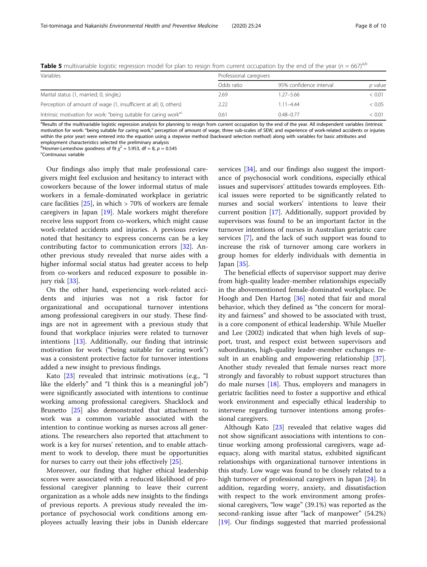<span id="page-7-0"></span>**Table 5** multivariable logistic regression model for plan to resign from current occupation by the end of the year ( $n = 667$ )<sup>a,b</sup>

| Variables                                                                    | Professional caregivers |                         |                |  |  |  |
|------------------------------------------------------------------------------|-------------------------|-------------------------|----------------|--|--|--|
|                                                                              | Odds ratio              | 95% confidence interval | <i>p</i> value |  |  |  |
| Marital status (1, married; 0, single,)                                      | 2.69                    | $1.27 - 5.66$           | < 0.01         |  |  |  |
| Perception of amount of wage (1, insufficient at all; 0, others)             | 2.22                    | $1.11 - 4.44$           | < 0.05         |  |  |  |
| Intrinsic motivation for work: "being suitable for caring work" <sup>c</sup> | 0.61                    | $0.48 - 0.77$           | < 0.01         |  |  |  |

<sup>a</sup>Results of the multivariable logistic regression analysis for planning to resign from current occupation by the end of the year. All independent variables (intrinsic motivation for work: "being suitable for caring work," perception of amount of wage, three sub-scales of SEW, and experience of work-related accidents or injuries within the prior year) were entered into the equation using a stepwise method (backward selection method) along with variables for basic attributes and employment characteristics selected the preliminary analysis

<sup>b</sup>Hosmer-Lemeshow goodness of fit  $\chi^2 = 5.953$ , df = 8, p = 0.545

Continuous variable

Our findings also imply that male professional caregivers might feel exclusion and hesitancy to interact with coworkers because of the lower informal status of male workers in a female-dominated workplace in geriatric care facilities  $[25]$  $[25]$ , in which  $> 70\%$  of workers are female caregivers in Japan [[19\]](#page-9-0). Male workers might therefore receive less support from co-workers, which might cause work-related accidents and injuries. A previous review noted that hesitancy to express concerns can be a key contributing factor to communication errors [[32\]](#page-9-0). Another previous study revealed that nurse aides with a higher informal social status had greater access to help from co-workers and reduced exposure to possible injury risk [[33](#page-9-0)].

On the other hand, experiencing work-related accidents and injuries was not a risk factor for organizational and occupational turnover intentions among professional caregivers in our study. These findings are not in agreement with a previous study that found that workplace injuries were related to turnover intentions [[13\]](#page-9-0). Additionally, our finding that intrinsic motivation for work ("being suitable for caring work") was a consistent protective factor for turnover intentions added a new insight to previous findings.

Kato [[23\]](#page-9-0) revealed that intrinsic motivations (e.g., "I like the elderly" and "I think this is a meaningful job") were significantly associated with intentions to continue working among professional caregivers. Shacklock and Brunetto [[25](#page-9-0)] also demonstrated that attachment to work was a common variable associated with the intention to continue working as nurses across all generations. The researchers also reported that attachment to work is a key for nurses' retention, and to enable attachment to work to develop, there must be opportunities for nurses to carry out their jobs effectively [[25\]](#page-9-0).

Moreover, our finding that higher ethical leadership scores were associated with a reduced likelihood of professional caregiver planning to leave their current organization as a whole adds new insights to the findings of previous reports. A previous study revealed the importance of psychosocial work conditions among employees actually leaving their jobs in Danish eldercare services [\[34](#page-9-0)], and our findings also suggest the importance of psychosocial work conditions, especially ethical issues and supervisors' attitudes towards employees. Ethical issues were reported to be significantly related to nurses and social workers' intentions to leave their current position [[17\]](#page-9-0). Additionally, support provided by supervisors was found to be an important factor in the turnover intentions of nurses in Australian geriatric care services [\[7](#page-9-0)], and the lack of such support was found to increase the risk of turnover among care workers in group homes for elderly individuals with dementia in Japan [\[35](#page-9-0)].

The beneficial effects of supervisor support may derive from high-quality leader-member relationships especially in the abovementioned female-dominated workplace. De Hoogh and Den Hartog [[36\]](#page-9-0) noted that fair and moral behavior, which they defined as "the concern for morality and fairness" and showed to be associated with trust, is a core component of ethical leadership. While Mueller and Lee (2002) indicated that when high levels of support, trust, and respect exist between supervisors and subordinates, high-quality leader-member exchanges result in an enabling and empowering relationship [\[37](#page-9-0)]. Another study revealed that female nurses react more strongly and favorably to robust support structures than do male nurses [\[18](#page-9-0)]. Thus, employers and managers in geriatric facilities need to foster a supportive and ethical work environment and especially ethical leadership to intervene regarding turnover intentions among professional caregivers.

Although Kato [[23\]](#page-9-0) revealed that relative wages did not show significant associations with intentions to continue working among professional caregivers, wage adequacy, along with marital status, exhibited significant relationships with organizational turnover intentions in this study. Low wage was found to be closely related to a high turnover of professional caregivers in Japan [\[24](#page-9-0)]. In addition, regarding worry, anxiety, and dissatisfaction with respect to the work environment among professional caregivers, "low wage" (39.1%) was reported as the second-ranking issue after "lack of manpower" (54.2%) [[19\]](#page-9-0). Our findings suggested that married professional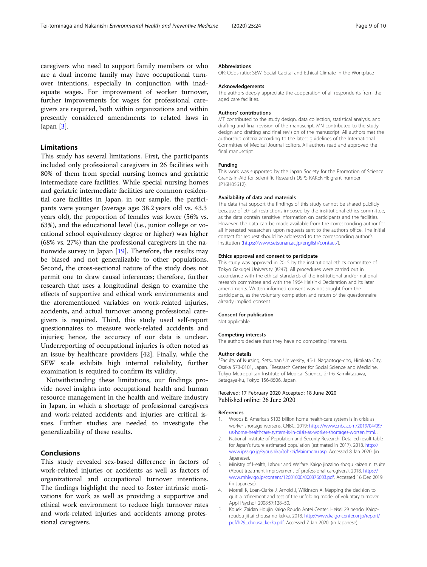<span id="page-8-0"></span>caregivers who need to support family members or who are a dual income family may have occupational turnover intentions, especially in conjunction with inadequate wages. For improvement of worker turnover, further improvements for wages for professional caregivers are required, both within organizations and within presently considered amendments to related laws in Japan [3].

## Limitations

This study has several limitations. First, the participants included only professional caregivers in 26 facilities with 80% of them from special nursing homes and geriatric intermediate care facilities. While special nursing homes and geriatric intermediate facilities are common residential care facilities in Japan, in our sample, the participants were younger (average age: 38.2 years old vs. 43.3 years old), the proportion of females was lower (56% vs. 63%), and the educational level (i.e., junior college or vocational school equivalency degree or higher) was higher (68% vs. 27%) than the professional caregivers in the nationwide survey in Japan [[19\]](#page-9-0). Therefore, the results may be biased and not generalizable to other populations. Second, the cross-sectional nature of the study does not permit one to draw causal inferences; therefore, further research that uses a longitudinal design to examine the effects of supportive and ethical work environments and the aforementioned variables on work-related injuries, accidents, and actual turnover among professional caregivers is required. Third, this study used self-report questionnaires to measure work-related accidents and injuries; hence, the accuracy of our data is unclear. Underreporting of occupational injuries is often noted as an issue by healthcare providers [42]. Finally, while the SEW scale exhibits high internal reliability, further examination is required to confirm its validity.

Notwithstanding these limitations, our findings provide novel insights into occupational health and human resource management in the health and welfare industry in Japan, in which a shortage of professional caregivers and work-related accidents and injuries are critical issues. Further studies are needed to investigate the generalizability of these results.

## Conclusions

This study revealed sex-based difference in factors of work-related injuries or accidents as well as factors of organizational and occupational turnover intentions. The findings highlight the need to foster intrinsic motivations for work as well as providing a supportive and ethical work environment to reduce high turnover rates and work-related injuries and accidents among professional caregivers.

#### Abbreviations

OR: Odds ratio; SEW: Social Capital and Ethical Climate in the Workplace

#### Acknowledgements

The authors deeply appreciate the cooperation of all respondents from the aged care facilities.

#### Authors' contributions

MT contributed to the study design, data collection, statistical analysis, and drafting and final revision of the manuscript. MN contributed to the study design and drafting and final revision of the manuscript. All authors met the authorship criteria according to the latest guidelines of the International Committee of Medical Journal Editors. All authors read and approved the final manuscript.

#### Funding

This work was supported by the Japan Society for the Promotion of Science Grants-in-Aid for Scientific Research (JSPS KAKENHI; grant number JP16H05612).

#### Availability of data and materials

The data that support the findings of this study cannot be shared publicly because of ethical restrictions imposed by the institutional ethics committee, as the data contain sensitive information on participants and the facilities. However, the data can be made available from the corresponding author for all interested researchers upon requests sent to the author's office. The initial contact for request should be addressed to the corresponding author's institution [\(https://www.setsunan.ac.jp/english/contact/](https://www.setsunan.ac.jp/english/contact/)).

#### Ethics approval and consent to participate

This study was approved in 2015 by the institutional ethics committee of Tokyo Gakugei University (#247). All procedures were carried out in accordance with the ethical standards of the institutional and/or national research committee and with the 1964 Helsinki Declaration and its later amendments. Written informed consent was not sought from the participants, as the voluntary completion and return of the questionnaire already implied consent.

#### Consent for publication

Not applicable.

#### Competing interests

The authors declare that they have no competing interests.

#### Author details

<sup>1</sup> Faculty of Nursing, Setsunan University, 45-1 Nagaotoge-cho, Hirakata City, Osaka 573-0101, Japan. <sup>2</sup>Research Center for Social Science and Medicine, Tokyo Metropolitan Institute of Medical Science, 2-1-6 Kamikitazawa, Setagaya-ku, Tokyo 156-8506, Japan.

#### Received: 17 February 2020 Accepted: 18 June 2020 Published online: 26 June 2020

#### References

- Woods B. America's \$103 billion home health-care system is in crisis as worker shortage worsens. CNBC. 2019; [https://www.cnbc.com/2019/04/09/](https://www.cnbc.com/2019/04/09/us-home-healthcare-system-is-in-crisis-as-worker-shortages-worsen.html) [us-home-healthcare-system-is-in-crisis-as-worker-shortages-worsen.html](https://www.cnbc.com/2019/04/09/us-home-healthcare-system-is-in-crisis-as-worker-shortages-worsen.html). .
- 2. National Institute of Population and Security Research. Detailed result table for Japan's future estimated population (estimated in 2017). 2018. [http://](http://www.ipss.go.jp/syoushika/tohkei/Mainmenu.asp) [www.ipss.go.jp/syoushika/tohkei/Mainmenu.asp.](http://www.ipss.go.jp/syoushika/tohkei/Mainmenu.asp) Accessed 8 Jan 2020. (in Japanese).
- 3. Ministry of Health, Labour and Welfare. Kaigo jinzaino shogu kaizen ni tsuite (About treatment improvement of professional caregivers). 2018. [https://](https://www.mhlw.go.jp/content/12601000/000376603.pdf) [www.mhlw.go.jp/content/12601000/000376603.pdf](https://www.mhlw.go.jp/content/12601000/000376603.pdf). Accessed 16 Dec 2019. (in Japanese).
- 4. Morrell K, Loan-Clarke J, Arnold J, Wilkinson A. Mapping the decision to quit: a refinement and test of the unfolding model of voluntary turnover. Appl Psychol. 2008;57:128–50.
- 5. Koueki Zaidan Houjin Kaigo Roudo Antei Center. Heisei 29 nendo: Kaigoroudou jittai chousa no kekka. 2018. [http://www.kaigo-center.or.jp/report/](http://www.kaigo-center.or.jp/report/pdf/h29_chousa_kekka.pdf) [pdf/h29\\_chousa\\_kekka.pdf.](http://www.kaigo-center.or.jp/report/pdf/h29_chousa_kekka.pdf) Accessed 7 Jan 2020. (in Japanese).